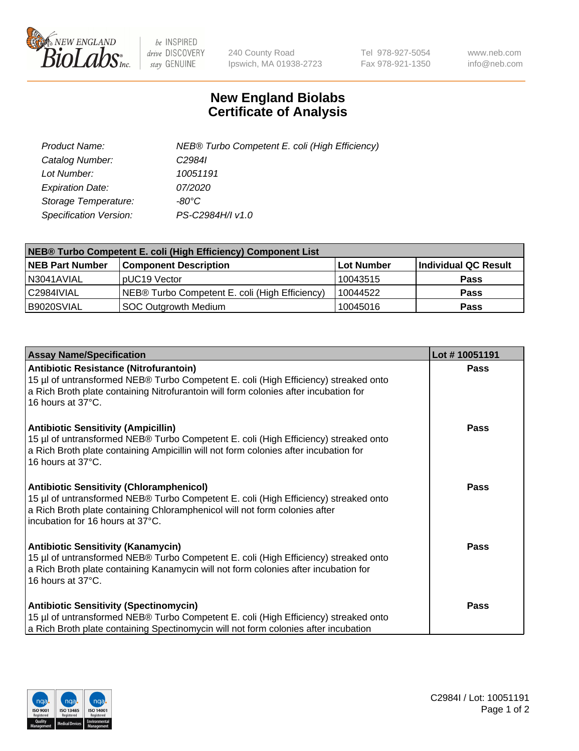

 $be$  INSPIRED drive DISCOVERY stay GENUINE

240 County Road Ipswich, MA 01938-2723 Tel 978-927-5054 Fax 978-921-1350 www.neb.com info@neb.com

## **New England Biolabs Certificate of Analysis**

| Product Name:           | NEB® Turbo Competent E. coli (High Efficiency) |
|-------------------------|------------------------------------------------|
| Catalog Number:         | C <sub>2984</sub>                              |
| Lot Number:             | 10051191                                       |
| <b>Expiration Date:</b> | <i>07/2020</i>                                 |
| Storage Temperature:    | -80°C                                          |
| Specification Version:  | PS-C2984H/I v1.0                               |

| NEB® Turbo Competent E. coli (High Efficiency) Component List |                                                |            |                      |  |
|---------------------------------------------------------------|------------------------------------------------|------------|----------------------|--|
| <b>NEB Part Number</b>                                        | <b>Component Description</b>                   | Lot Number | Individual QC Result |  |
| N3041AVIAL                                                    | pUC19 Vector                                   | 10043515   | <b>Pass</b>          |  |
| C2984IVIAL                                                    | NEB® Turbo Competent E. coli (High Efficiency) | 10044522   | <b>Pass</b>          |  |
| B9020SVIAL                                                    | <b>SOC Outgrowth Medium</b>                    | 10045016   | <b>Pass</b>          |  |

| <b>Assay Name/Specification</b>                                                                                                                                                                                                                          | Lot #10051191 |
|----------------------------------------------------------------------------------------------------------------------------------------------------------------------------------------------------------------------------------------------------------|---------------|
| Antibiotic Resistance (Nitrofurantoin)<br>15 µl of untransformed NEB® Turbo Competent E. coli (High Efficiency) streaked onto<br>a Rich Broth plate containing Nitrofurantoin will form colonies after incubation for<br>16 hours at 37°C.               | <b>Pass</b>   |
| <b>Antibiotic Sensitivity (Ampicillin)</b><br>15 µl of untransformed NEB® Turbo Competent E. coli (High Efficiency) streaked onto<br>a Rich Broth plate containing Ampicillin will not form colonies after incubation for<br>16 hours at 37°C.           | <b>Pass</b>   |
| <b>Antibiotic Sensitivity (Chloramphenicol)</b><br>15 µl of untransformed NEB® Turbo Competent E. coli (High Efficiency) streaked onto<br>a Rich Broth plate containing Chloramphenicol will not form colonies after<br>incubation for 16 hours at 37°C. | Pass          |
| <b>Antibiotic Sensitivity (Kanamycin)</b><br>15 µl of untransformed NEB® Turbo Competent E. coli (High Efficiency) streaked onto<br>a Rich Broth plate containing Kanamycin will not form colonies after incubation for<br>16 hours at 37°C.             | Pass          |
| <b>Antibiotic Sensitivity (Spectinomycin)</b><br>15 µl of untransformed NEB® Turbo Competent E. coli (High Efficiency) streaked onto<br>a Rich Broth plate containing Spectinomycin will not form colonies after incubation                              | Pass          |